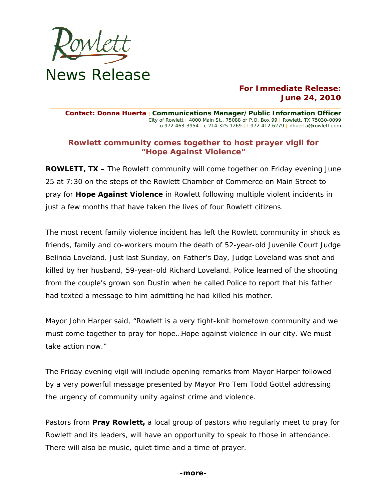

# **For Immediate Release: June 24, 2010**

**Contact: Donna Huerta** | **Communications Manager/Public Information Officer** City of Rowlett | 4000 Main St., 75088 or P.O. Box 99 | Rowlett, TX 75030-0099 o 972.463-3954 | c 214.325.1269 | f 972.412.6279 | dhuerta@rowlett.com

**\_\_\_\_\_\_\_\_\_\_\_\_\_\_\_\_\_\_\_\_\_\_\_\_\_\_\_\_\_\_\_\_\_\_\_\_\_\_\_\_\_\_\_\_\_\_\_\_\_\_\_\_\_\_\_\_\_\_\_\_\_\_\_\_\_\_\_\_\_\_\_\_\_\_\_\_\_\_\_\_\_\_\_\_\_\_\_\_\_\_\_\_** 

## **Rowlett community comes together to host prayer vigil for "Hope Against Violence"**

**ROWLETT, TX** – The Rowlett community will come together on Friday evening June 25 at 7:30 on the steps of the Rowlett Chamber of Commerce on Main Street to pray for **Hope Against Violence** in Rowlett following multiple violent incidents in just a few months that have taken the lives of four Rowlett citizens.

The most recent family violence incident has left the Rowlett community in shock as friends, family and co-workers mourn the death of 52-year-old Juvenile Court Judge Belinda Loveland. Just last Sunday, on Father's Day, Judge Loveland was shot and killed by her husband, 59-year-old Richard Loveland. Police learned of the shooting from the couple's grown son Dustin when he called Police to report that his father had texted a message to him admitting he had killed his mother.

Mayor John Harper said, "Rowlett is a very tight-knit hometown community and we must come together to pray for hope…Hope against violence in our city. We must take action now."

The Friday evening vigil will include opening remarks from Mayor Harper followed by a very powerful message presented by Mayor Pro Tem Todd Gottel addressing the urgency of community unity against crime and violence.

Pastors from *Pray Rowlett***,** a local group of pastors who regularly meet to pray for Rowlett and its leaders, will have an opportunity to speak to those in attendance. There will also be music, quiet time and a time of prayer.